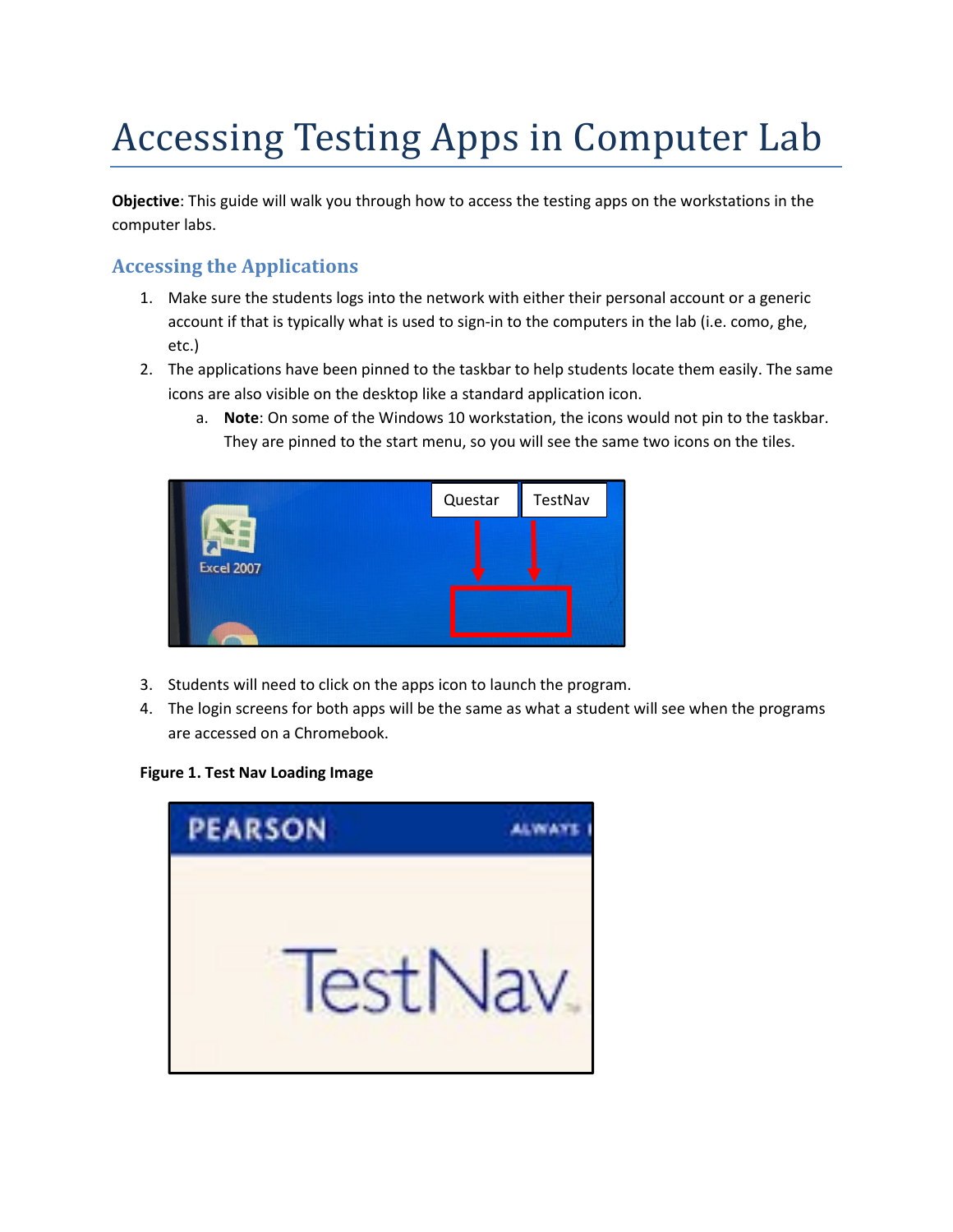# Accessing Testing Apps in Computer Lab

Objective: This guide will walk you through how to access the testing apps on the workstations in the computer labs.

## Accessing the Applications

- 1. Make sure the students logs into the network with either their personal account or a generic account if that is typically what is used to sign-in to the computers in the lab (i.e. como, ghe, etc.)
- 2. The applications have been pinned to the taskbar to help students locate them easily. The same icons are also visible on the desktop like a standard application icon.
	- a. Note: On some of the Windows 10 workstation, the icons would not pin to the taskbar. They are pinned to the start menu, so you will see the same two icons on the tiles.



- 3. Students will need to click on the apps icon to launch the program.
- 4. The login screens for both apps will be the same as what a student will see when the programs are accessed on a Chromebook.

#### Figure 1. Test Nav Loading Image